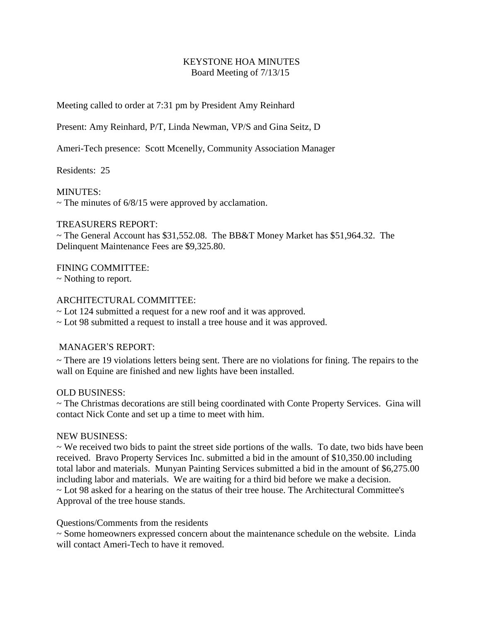# KEYSTONE HOA MINUTES Board Meeting of 7/13/15

Meeting called to order at 7:31 pm by President Amy Reinhard

Present: Amy Reinhard, P/T, Linda Newman, VP/S and Gina Seitz, D

Ameri-Tech presence: Scott Mcenelly, Community Association Manager

Residents: 25

MINUTES:

 $\sim$  The minutes of 6/8/15 were approved by acclamation.

#### TREASURERS REPORT:

 $\sim$  The General Account has \$31,552.08. The BB&T Money Market has \$51,964.32. The Delinquent Maintenance Fees are \$9,325.80.

FINING COMMITTEE:

~ Nothing to report.

## ARCHITECTURAL COMMITTEE:

~ Lot 124 submitted a request for a new roof and it was approved.

~ Lot 98 submitted a request to install a tree house and it was approved.

### MANAGER'S REPORT:

~ There are 19 violations letters being sent. There are no violations for fining. The repairs to the wall on Equine are finished and new lights have been installed.

### OLD BUSINESS:

~ The Christmas decorations are still being coordinated with Conte Property Services. Gina will contact Nick Conte and set up a time to meet with him.

### NEW BUSINESS:

 $\sim$  We received two bids to paint the street side portions of the walls. To date, two bids have been received. Bravo Property Services Inc. submitted a bid in the amount of \$10,350.00 including total labor and materials. Munyan Painting Services submitted a bid in the amount of \$6,275.00 including labor and materials. We are waiting for a third bid before we make a decision. ~ Lot 98 asked for a hearing on the status of their tree house. The Architectural Committee's Approval of the tree house stands.

### Questions/Comments from the residents

~ Some homeowners expressed concern about the maintenance schedule on the website. Linda will contact Ameri-Tech to have it removed.